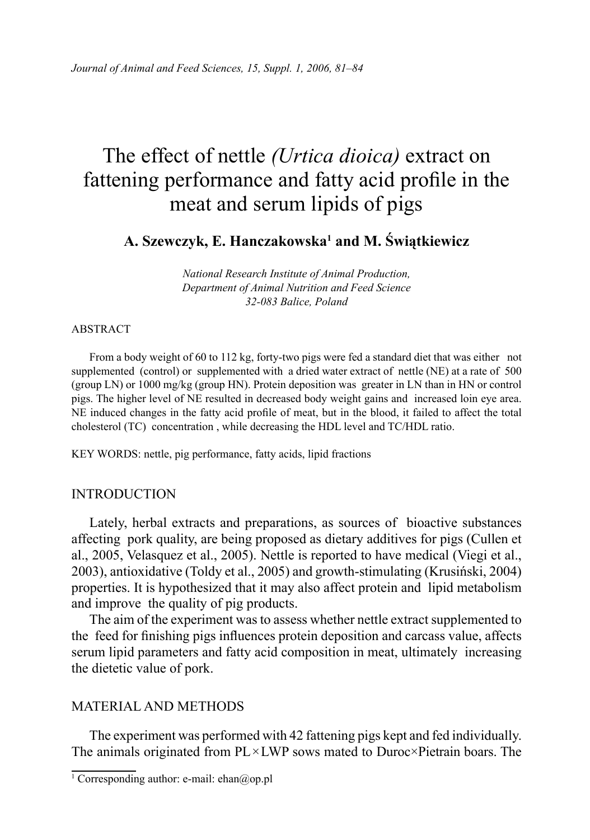# The effect of nettle *(Urtica dioica)* extract on fattening performance and fatty acid profile in the meat and serum lipids of pigs

**A. Szewczyk, E. Hanczakowska1 and M. Świątkiewicz**

*National Research Institute of Animal Production, Department of Animal Nutrition and Feed Science 32-083 Balice, Poland*

#### ABSTRACT

From a body weight of 60 to 112 kg, forty-two pigs were fed a standard diet that was either not supplemented (control) or supplemented with a dried water extract of nettle (NE) at a rate of 500 (group LN) or 1000 mg/kg (group HN). Protein deposition was greater in LN than in HN or control pigs. The higher level of NE resulted in decreased body weight gains and increased loin eye area. NE induced changes in the fatty acid profile of meat, but in the blood, it failed to affect the total cholesterol (TC) concentration , while decreasing the HDL level and TC/HDL ratio.

KEY WORDS: nettle, pig performance, fatty acids, lipid fractions

## INTRODUCTION

Lately, herbal extracts and preparations, as sources of bioactive substances affecting pork quality, are being proposed as dietary additives for pigs (Cullen et al., 2005, Velasquez et al., 2005). Nettle is reported to have medical (Viegi et al., 2003), antioxidative (Toldy et al., 2005) and growth-stimulating (Krusiński, 2004) properties. It is hypothesized that it may also affect protein and lipid metabolism and improve the quality of pig products.

The aim of the experiment was to assess whether nettle extract supplemented to the feed for finishing pigs influences protein deposition and carcass value, affects serum lipid parameters and fatty acid composition in meat, ultimately increasing the dietetic value of pork.

## MATERIAL AND METHODS

The experiment was performed with 42 fattening pigs kept and fed individually. The animals originated from PL×LWP sows mated to Duroc×Pietrain boars. The

<sup>1</sup> Corresponding author: e-mail: ehan@op.pl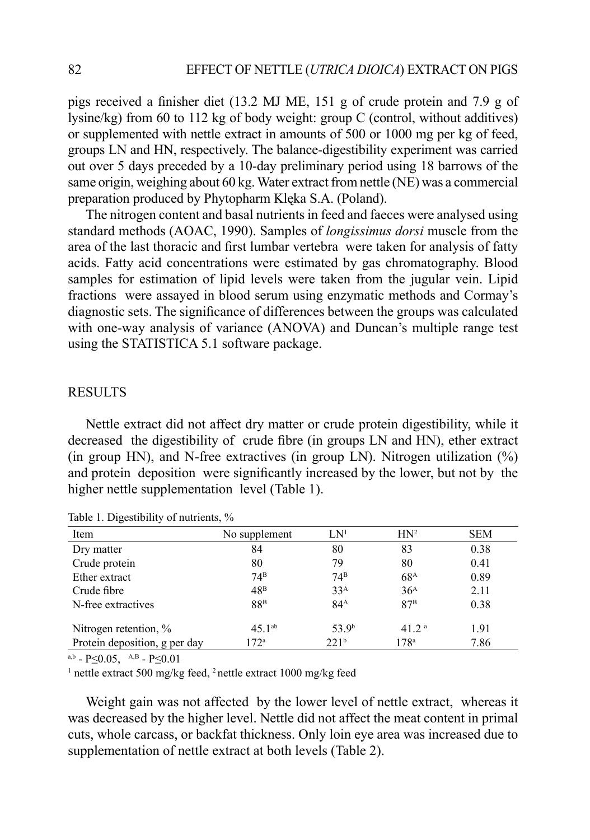pigs received a finisher diet (13.2 MJ ME, 151 g of crude protein and 7.9 g of lysine/kg) from 60 to 112 kg of body weight: group C (control, without additives) or supplemented with nettle extract in amounts of 500 or 1000 mg per kg of feed, groups LN and HN, respectively. The balance-digestibility experiment was carried out over 5 days preceded by a 10-day preliminary period using 18 barrows of the same origin, weighing about 60 kg. Water extract from nettle (NE) was a commercial preparation produced by Phytopharm Klęka S.A. (Poland).

The nitrogen content and basal nutrients in feed and faeces were analysed using standard methods (AOAC, 1990). Samples of *longissimus dorsi* muscle from the area of the last thoracic and first lumbar vertebra were taken for analysis of fatty acids. Fatty acid concentrations were estimated by gas chromatography. Blood samples for estimation of lipid levels were taken from the jugular vein. Lipid fractions were assayed in blood serum using enzymatic methods and Cormay's diagnostic sets. The significance of differences between the groups was calculated with one-way analysis of variance (ANOVA) and Duncan's multiple range test using the STATISTICA 5.1 software package.

## RESULTS

Nettle extract did not affect dry matter or crude protein digestibility, while it decreased the digestibility of crude fibre (in groups LN and HN), ether extract (in group HN), and N-free extractives (in group LN). Nitrogen utilization  $(\%)$ and protein deposition were significantly increased by the lower, but not by the higher nettle supplementation level (Table 1).

| Item                          | No supplement    | LN <sup>1</sup>   | HN <sup>2</sup>  | <b>SEM</b> |
|-------------------------------|------------------|-------------------|------------------|------------|
| Dry matter                    | 84               | 80                | 83               | 0.38       |
| Crude protein                 | 80               | 79                | 80               | 0.41       |
| Ether extract                 | $74^{\rm B}$     | $74^{\rm B}$      | 68 <sup>A</sup>  | 0.89       |
| Crude fibre                   | 48 <sup>B</sup>  | 33 <sup>A</sup>   | 36 <sup>A</sup>  | 2.11       |
| N-free extractives            | 88 <sup>B</sup>  | 84 <sup>A</sup>   | 87 <sup>B</sup>  | 0.38       |
| Nitrogen retention, %         | $45.1^{ab}$      | 53.9 <sup>b</sup> | 41 2 $a$         | 1.91       |
| Protein deposition, g per day | 172 <sup>a</sup> | 22.1 <sup>b</sup> | 178 <sup>a</sup> | 7.86       |

Table 1. Digestibility of nutrients, %

 $a,b$  - P<0.05,  $A,B$  - P<0.01

<sup>1</sup> nettle extract 500 mg/kg feed, <sup>2</sup> nettle extract 1000 mg/kg feed

Weight gain was not affected by the lower level of nettle extract, whereas it was decreased by the higher level. Nettle did not affect the meat content in primal cuts, whole carcass, or backfat thickness. Only loin eye area was increased due to supplementation of nettle extract at both levels (Table 2).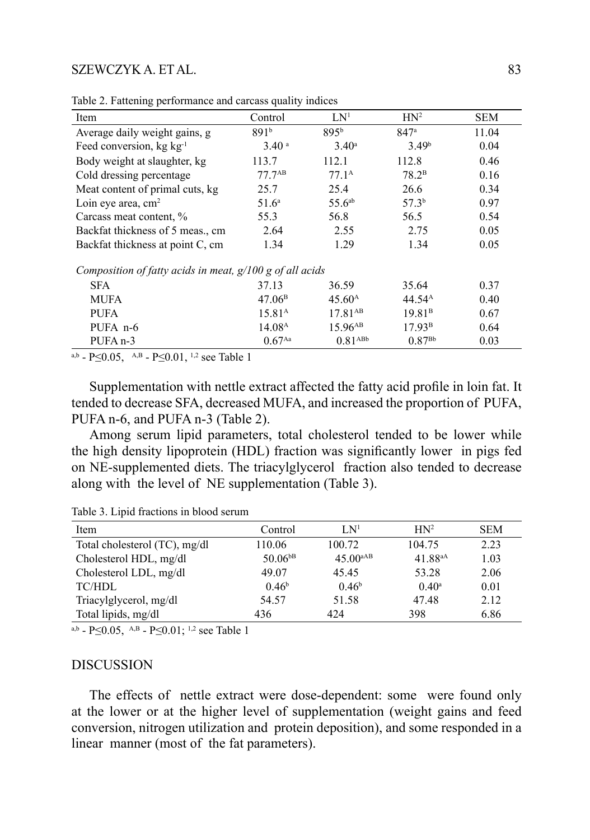#### SZEWCZYK A. ET AL.

| Item                                                       | Control              | LN <sup>1</sup>     | HN <sup>2</sup>    | <b>SEM</b> |  |  |  |  |
|------------------------------------------------------------|----------------------|---------------------|--------------------|------------|--|--|--|--|
| Average daily weight gains, g                              | 891b                 | 895 <sup>b</sup>    | 847a               | 11.04      |  |  |  |  |
| Feed conversion, $kg \ kg^{-1}$                            | 3.40 <sup>a</sup>    | $3.40^{\circ}$      | 3.49 <sup>b</sup>  | 0.04       |  |  |  |  |
| Body weight at slaughter, kg                               | 113.7                | 112.1               | 112.8              | 0.46       |  |  |  |  |
| Cold dressing percentage                                   | $77.7^{AB}$          | $77.1^{\text{A}}$   | 78.2 <sup>B</sup>  | 0.16       |  |  |  |  |
| Meat content of primal cuts, kg                            | 25.7                 | 25.4                | 26.6               | 0.34       |  |  |  |  |
| Loin eye area, $cm2$                                       | 51.6 <sup>a</sup>    | 55.6 <sup>ab</sup>  | 57.3 <sup>b</sup>  | 0.97       |  |  |  |  |
| Carcass meat content, %                                    | 55.3                 | 56.8                | 56.5               | 0.54       |  |  |  |  |
| Backfat thickness of 5 meas., cm                           | 2.64                 | 2.55                | 2.75               | 0.05       |  |  |  |  |
| Backfat thickness at point C, cm                           | 1.34                 | 1.29                | 1.34               | 0.05       |  |  |  |  |
| Composition of fatty acids in meat, $g/100 g$ of all acids |                      |                     |                    |            |  |  |  |  |
| <b>SFA</b>                                                 | 37.13                | 36.59               | 35.64              | 0.37       |  |  |  |  |
| MUFA                                                       | 47.06 <sup>B</sup>   | 45.60 <sup>A</sup>  | 44.54 <sup>A</sup> | 0.40       |  |  |  |  |
| <b>PUFA</b>                                                | 15.81 <sup>A</sup>   | $17.81^{AB}$        | 19.81 <sup>B</sup> | 0.67       |  |  |  |  |
| PUFA n-6                                                   | 14.08 <sup>A</sup>   | 15.96 <sup>AB</sup> | 17.93 <sup>B</sup> | 0.64       |  |  |  |  |
| PUFA <sub>n-3</sub>                                        | $0.67$ <sup>Aa</sup> | 0.81 <sub>ABb</sub> | $0.87^{Bb}$        | 0.03       |  |  |  |  |

Table 2. Fattening performance and carcass quality indices

a,b - P $\leq$ 0.05, A,B - P $\leq$ 0.01, <sup>1,2</sup> see Table 1

Supplementation with nettle extract affected the fatty acid profile in loin fat. It tended to decrease SFA, decreased MUFA, and increased the proportion of PUFA, PUFA n-6, and PUFA n-3 (Table 2).

Among serum lipid parameters, total cholesterol tended to be lower while the high density lipoprotein (HDL) fraction was significantly lower in pigs fed on NE-supplemented diets. The triacylglycerol fraction also tended to decrease along with the level of NE supplementation (Table 3).

Table 3. Lipid fractions in blood serum

| Item                          | Control           | LN <sup>1</sup>      | HN <sup>2</sup> | <b>SEM</b> |
|-------------------------------|-------------------|----------------------|-----------------|------------|
| Total cholesterol (TC), mg/dl | 110.06            | 100.72               | 104.75          | 2.23       |
| Cholesterol HDL, mg/dl        | $50.06^{bB}$      | 45.00 <sup>aAB</sup> | 41.88aA         | 1.03       |
| Cholesterol LDL, mg/dl        | 49.07             | 45.45                | 53.28           | 2.06       |
| TC/HDL                        | 0.46 <sup>b</sup> | 0.46 <sup>b</sup>    | $0.40^{\rm a}$  | 0.01       |
| Triacylglycerol, mg/dl        | 54.57             | 51.58                | 47.48           | 2.12       |
| Total lipids, mg/dl           | 436               | 424                  | 398             | 6.86       |

a,b - P $\leq$ 0.05, A,B - P $\leq$ 0.01; <sup>1,2</sup> see Table 1

#### **DISCUSSION**

The effects of nettle extract were dose-dependent: some were found only at the lower or at the higher level of supplementation (weight gains and feed conversion, nitrogen utilization and protein deposition), and some responded in a linear manner (most of the fat parameters).